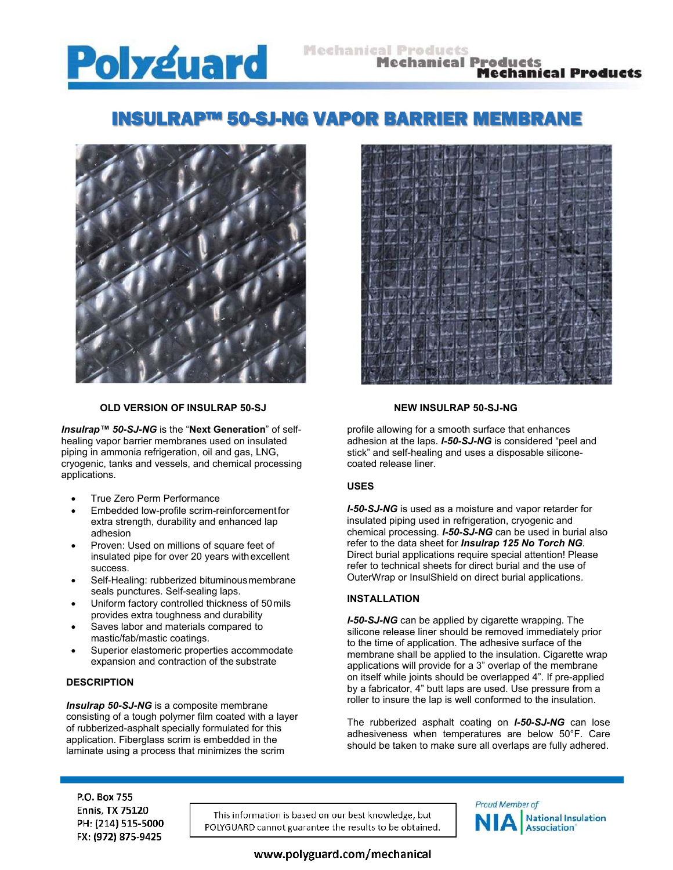# **Polyguard**

#### **Mechanical Products Mechanical Products Mechanical Products**

## INSULRAP™ 50-SJ-NG VAPOR BARRIER MEMBRANE



#### **OLD VERSION OF INSULRAP 50-SJ NEW INSULRAP 50-SJ-NG**

*Insulrap™ 50-SJ-NG* is the "**Next Generation**" of selfhealing vapor barrier membranes used on insulated piping in ammonia refrigeration, oil and gas, LNG, cryogenic, tanks and vessels, and chemical processing applications.

- True Zero Perm Performance
- Embedded low-profile scrim-reinforcement for extra strength, durability and enhanced lap adhesion
- Proven: Used on millions of square feet of insulated pipe for over 20 years with excellent success.
- Self-Healing: rubberized bituminous membrane seals punctures. Self-sealing laps.
- Uniform factory controlled thickness of 50 mils provides extra toughness and durability
- Saves labor and materials compared to mastic/fab/mastic coatings.
- Superior elastomeric properties accommodate expansion and contraction of the substrate

#### **DESCRIPTION**

*Insulrap 50-SJ-NG* is a composite membrane consisting of a tough polymer film coated with a layer of rubberized-asphalt specially formulated for this application. Fiberglass scrim is embedded in the laminate using a process that minimizes the scrim



profile allowing for a smooth surface that enhances adhesion at the laps. *I-50-SJ-NG* is considered "peel and stick" and self-healing and uses a disposable siliconecoated release liner.

#### **USES**

*I-50-SJ-NG* is used as a moisture and vapor retarder for insulated piping used in refrigeration, cryogenic and chemical processing. *I-50-SJ-NG* can be used in burial also refer to the data sheet for *Insulrap 125 No Torch NG.* Direct burial applications require special attention! Please refer to technical sheets for direct burial and the use of OuterWrap or InsulShield on direct burial applications.

#### **INSTALLATION**

*I-50-SJ-NG* can be applied by cigarette wrapping. The silicone release liner should be removed immediately prior to the time of application. The adhesive surface of the membrane shall be applied to the insulation. Cigarette wrap applications will provide for a 3" overlap of the membrane on itself while joints should be overlapped 4". If pre-applied by a fabricator, 4" butt laps are used. Use pressure from a roller to insure the lap is well conformed to the insulation.

The rubberized asphalt coating on *I-50-SJ-NG* can lose adhesiveness when temperatures are below 50°F. Care should be taken to make sure all overlaps are fully adhered.

P.O. Box 755 **Ennis, TX 75120** PH: (214) 515-5000 FX: (972) 875-9425

This information is based on our best knowledge, but POLYGUARD cannot guarantee the results to be obtained.